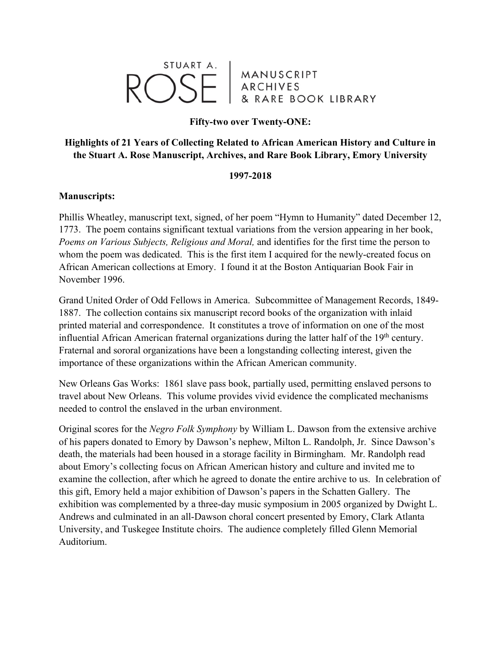# STUART A. ROSE ARCHIVES

#### **Fifty-two over Twenty-ONE:**

# **Highlights of 21 Years of Collecting Related to African American History and Culture in the Stuart A. Rose Manuscript, Archives, and Rare Book Library, Emory University**

#### **1997-2018**

#### **Manuscripts:**

Phillis Wheatley, manuscript text, signed, of her poem "Hymn to Humanity" dated December 12, 1773. The poem contains significant textual variations from the version appearing in her book, *Poems on Various Subjects, Religious and Moral,* and identifies for the first time the person to whom the poem was dedicated. This is the first item I acquired for the newly-created focus on African American collections at Emory. I found it at the Boston Antiquarian Book Fair in November 1996.

Grand United Order of Odd Fellows in America. Subcommittee of Management Records, 1849- 1887. The collection contains six manuscript record books of the organization with inlaid printed material and correspondence. It constitutes a trove of information on one of the most influential African American fraternal organizations during the latter half of the 19<sup>th</sup> century. Fraternal and sororal organizations have been a longstanding collecting interest, given the importance of these organizations within the African American community.

New Orleans Gas Works: 1861 slave pass book, partially used, permitting enslaved persons to travel about New Orleans. This volume provides vivid evidence the complicated mechanisms needed to control the enslaved in the urban environment.

Original scores for the *Negro Folk Symphony* by William L. Dawson from the extensive archive of his papers donated to Emory by Dawson's nephew, Milton L. Randolph, Jr. Since Dawson's death, the materials had been housed in a storage facility in Birmingham. Mr. Randolph read about Emory's collecting focus on African American history and culture and invited me to examine the collection, after which he agreed to donate the entire archive to us. In celebration of this gift, Emory held a major exhibition of Dawson's papers in the Schatten Gallery. The exhibition was complemented by a three-day music symposium in 2005 organized by Dwight L. Andrews and culminated in an all-Dawson choral concert presented by Emory, Clark Atlanta University, and Tuskegee Institute choirs. The audience completely filled Glenn Memorial Auditorium.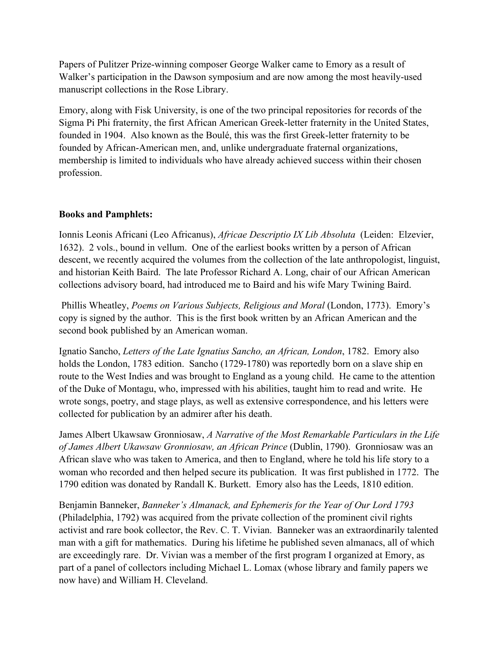Papers of Pulitzer Prize-winning composer George Walker came to Emory as a result of Walker's participation in the Dawson symposium and are now among the most heavily-used manuscript collections in the Rose Library.

Emory, along with Fisk University, is one of the two principal repositories for records of the Sigma Pi Phi fraternity, the first African American Greek-letter fraternity in the United States, founded in 1904. Also known as the Boulé, this was the first Greek-letter fraternity to be founded by African-American men, and, unlike undergraduate fraternal organizations, membership is limited to individuals who have already achieved success within their chosen profession.

# **Books and Pamphlets:**

Ionnis Leonis Africani (Leo Africanus), *Africae Descriptio IX Lib Absoluta* (Leiden: Elzevier, 1632). 2 vols., bound in vellum. One of the earliest books written by a person of African descent, we recently acquired the volumes from the collection of the late anthropologist, linguist, and historian Keith Baird. The late Professor Richard A. Long, chair of our African American collections advisory board, had introduced me to Baird and his wife Mary Twining Baird.

Phillis Wheatley, *Poems on Various Subjects, Religious and Moral* (London, 1773). Emory's copy is signed by the author. This is the first book written by an African American and the second book published by an American woman.

Ignatio Sancho, *Letters of the Late Ignatius Sancho, an African, London*, 1782. Emory also holds the London, 1783 edition. Sancho (1729-1780) was reportedly born on a slave ship en route to the West Indies and was brought to England as a young child. He came to the attention of the Duke of Montagu, who, impressed with his abilities, taught him to read and write. He wrote songs, poetry, and stage plays, as well as extensive correspondence, and his letters were collected for publication by an admirer after his death.

James Albert Ukawsaw Gronniosaw, *A Narrative of the Most Remarkable Particulars in the Life of James Albert Ukawsaw Gronniosaw, an African Prince* (Dublin, 1790). Gronniosaw was an African slave who was taken to America, and then to England, where he told his life story to a woman who recorded and then helped secure its publication. It was first published in 1772. The 1790 edition was donated by Randall K. Burkett. Emory also has the Leeds, 1810 edition.

Benjamin Banneker, *Banneker's Almanack, and Ephemeris for the Year of Our Lord 1793*  (Philadelphia, 1792) was acquired from the private collection of the prominent civil rights activist and rare book collector, the Rev. C. T. Vivian. Banneker was an extraordinarily talented man with a gift for mathematics. During his lifetime he published seven almanacs, all of which are exceedingly rare. Dr. Vivian was a member of the first program I organized at Emory, as part of a panel of collectors including Michael L. Lomax (whose library and family papers we now have) and William H. Cleveland.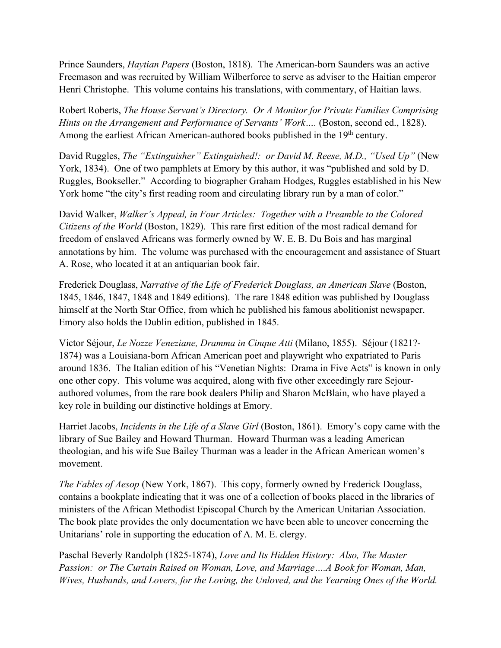Prince Saunders, *Haytian Papers* (Boston, 1818). The American-born Saunders was an active Freemason and was recruited by William Wilberforce to serve as adviser to the Haitian emperor Henri Christophe. This volume contains his translations, with commentary, of Haitian laws.

Robert Roberts, *The House Servant's Directory. Or A Monitor for Private Families Comprising Hints on the Arrangement and Performance of Servants' Work….* (Boston, second ed., 1828). Among the earliest African American-authored books published in the 19<sup>th</sup> century.

David Ruggles, *The "Extinguisher" Extinguished!: or David M. Reese, M.D., "Used Up"* (New York, 1834). One of two pamphlets at Emory by this author, it was "published and sold by D. Ruggles, Bookseller." According to biographer Graham Hodges, Ruggles established in his New York home "the city's first reading room and circulating library run by a man of color."

David Walker, *Walker's Appeal, in Four Articles: Together with a Preamble to the Colored Citizens of the World* (Boston, 1829). This rare first edition of the most radical demand for freedom of enslaved Africans was formerly owned by W. E. B. Du Bois and has marginal annotations by him. The volume was purchased with the encouragement and assistance of Stuart A. Rose, who located it at an antiquarian book fair.

Frederick Douglass, *Narrative of the Life of Frederick Douglass, an American Slave* (Boston, 1845, 1846, 1847, 1848 and 1849 editions). The rare 1848 edition was published by Douglass himself at the North Star Office, from which he published his famous abolitionist newspaper. Emory also holds the Dublin edition, published in 1845.

Victor Séjour, *Le Nozze Veneziane, Dramma in Cinque Atti* (Milano, 1855). Séjour (1821?- 1874) was a Louisiana-born African American poet and playwright who expatriated to Paris around 1836. The Italian edition of his "Venetian Nights: Drama in Five Acts" is known in only one other copy. This volume was acquired, along with five other exceedingly rare Sejourauthored volumes, from the rare book dealers Philip and Sharon McBlain, who have played a key role in building our distinctive holdings at Emory.

Harriet Jacobs, *Incidents in the Life of a Slave Girl* (Boston, 1861). Emory's copy came with the library of Sue Bailey and Howard Thurman. Howard Thurman was a leading American theologian, and his wife Sue Bailey Thurman was a leader in the African American women's movement.

*The Fables of Aesop* (New York, 1867). This copy, formerly owned by Frederick Douglass, contains a bookplate indicating that it was one of a collection of books placed in the libraries of ministers of the African Methodist Episcopal Church by the American Unitarian Association. The book plate provides the only documentation we have been able to uncover concerning the Unitarians' role in supporting the education of A. M. E. clergy.

Paschal Beverly Randolph (1825-1874), *Love and Its Hidden History: Also, The Master Passion: or The Curtain Raised on Woman, Love, and Marriage….A Book for Woman, Man, Wives, Husbands, and Lovers, for the Loving, the Unloved, and the Yearning Ones of the World.*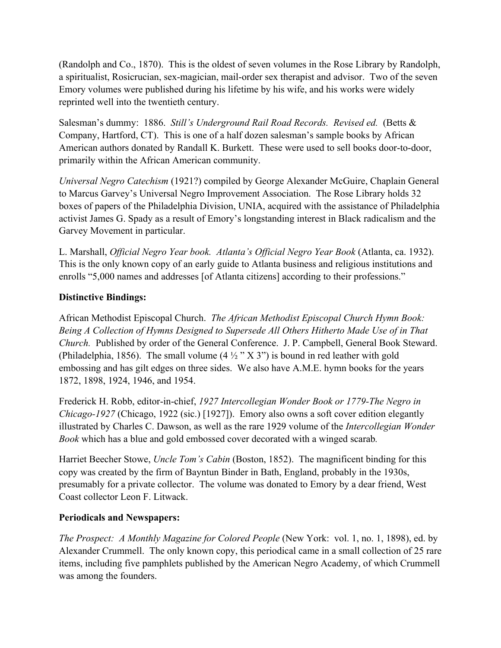(Randolph and Co., 1870).This is the oldest of seven volumes in the Rose Library by Randolph, a spiritualist, Rosicrucian, sex-magician, mail-order sex therapist and advisor. Two of the seven Emory volumes were published during his lifetime by his wife, and his works were widely reprinted well into the twentieth century.

Salesman's dummy: 1886. *Still's Underground Rail Road Records. Revised ed.* (Betts & Company, Hartford, CT). This is one of a half dozen salesman's sample books by African American authors donated by Randall K. Burkett. These were used to sell books door-to-door, primarily within the African American community.

*Universal Negro Catechism* (1921?) compiled by George Alexander McGuire, Chaplain General to Marcus Garvey's Universal Negro Improvement Association. The Rose Library holds 32 boxes of papers of the Philadelphia Division, UNIA, acquired with the assistance of Philadelphia activist James G. Spady as a result of Emory's longstanding interest in Black radicalism and the Garvey Movement in particular.

L. Marshall, *Official Negro Year book. Atlanta's Official Negro Year Book* (Atlanta, ca. 1932). This is the only known copy of an early guide to Atlanta business and religious institutions and enrolls "5,000 names and addresses [of Atlanta citizens] according to their professions."

# **Distinctive Bindings:**

African Methodist Episcopal Church. *The African Methodist Episcopal Church Hymn Book: Being A Collection of Hymns Designed to Supersede All Others Hitherto Made Use of in That Church.* Published by order of the General Conference. J. P. Campbell, General Book Steward. (Philadelphia, 1856). The small volume  $(4 \frac{1}{2}$  "X 3") is bound in red leather with gold embossing and has gilt edges on three sides. We also have A.M.E. hymn books for the years 1872, 1898, 1924, 1946, and 1954.

Frederick H. Robb, editor-in-chief, *1927 Intercollegian Wonder Book or 1779-The Negro in Chicago-1927* (Chicago, 1922 (sic.) [1927]). Emory also owns a soft cover edition elegantly illustrated by Charles C. Dawson, as well as the rare 1929 volume of the *Intercollegian Wonder Book* which has a blue and gold embossed cover decorated with a winged scarab*.* 

Harriet Beecher Stowe, *Uncle Tom's Cabin* (Boston, 1852). The magnificent binding for this copy was created by the firm of Bayntun Binder in Bath, England, probably in the 1930s, presumably for a private collector. The volume was donated to Emory by a dear friend, West Coast collector Leon F. Litwack.

# **Periodicals and Newspapers:**

*The Prospect: A Monthly Magazine for Colored People* (New York: vol. 1, no. 1, 1898), ed. by Alexander Crummell. The only known copy, this periodical came in a small collection of 25 rare items, including five pamphlets published by the American Negro Academy, of which Crummell was among the founders.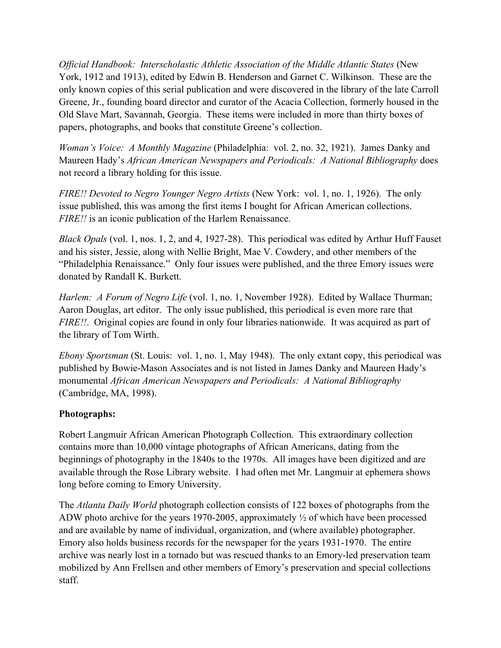*Official Handbook: Interscholastic Athletic Association of the Middle Atlantic States* (New York, 1912 and 1913), edited by Edwin B. Henderson and Garnet C. Wilkinson. These are the only known copies of this serial publication and were discovered in the library of the late Carroll Greene, Jr., founding board director and curator of the Acacia Collection, formerly housed in the Old Slave Mart, Savannah, Georgia. These items were included in more than thirty boxes of papers, photographs, and books that constitute Greene's collection.

*Woman's Voice: A Monthly Magazine* (Philadelphia: vol. 2, no. 32, 1921). James Danky and Maureen Hady's *African American Newspapers and Periodicals: A National Bibliography* does not record a library holding for this issue.

*FIRE!! Devoted to Negro Younger Negro Artists* (New York: vol. 1, no. 1, 1926). The only issue published, this was among the first items I bought for African American collections. *FIRE!!* is an iconic publication of the Harlem Renaissance.

*Black Opals* (vol. 1, nos. 1, 2, and 4, 1927-28). This periodical was edited by Arthur Huff Fauset and his sister, Jessie, along with Nellie Bright, Mae V. Cowdery, and other members of the "Philadelphia Renaissance." Only four issues were published, and the three Emory issues were donated by Randall K. Burkett.

*Harlem: A Forum of Negro Life* (vol. 1, no. 1, November 1928). Edited by Wallace Thurman; Aaron Douglas, art editor. The only issue published, this periodical is even more rare that *FIRE!!.* Original copies are found in only four libraries nationwide. It was acquired as part of the library of Tom Wirth.

*Ebony Sportsman* (St. Louis: vol. 1, no. 1, May 1948). The only extant copy, this periodical was published by Bowie-Mason Associates and is not listed in James Danky and Maureen Hady's monumental *African American Newspapers and Periodicals: A National Bibliography* (Cambridge, MA, 1998).

# **Photographs:**

Robert Langmuir African American Photograph Collection. This extraordinary collection contains more than 10,000 vintage photographs of African Americans, dating from the beginnings of photography in the 1840s to the 1970s. All images have been digitized and are available through the Rose Library website. I had often met Mr. Langmuir at ephemera shows long before coming to Emory University.

The *Atlanta Daily World* photograph collection consists of 122 boxes of photographs from the ADW photo archive for the years 1970-2005, approximately ½ of which have been processed and are available by name of individual, organization, and (where available) photographer. Emory also holds business records for the newspaper for the years 1931-1970. The entire archive was nearly lost in a tornado but was rescued thanks to an Emory-led preservation team mobilized by Ann Frellsen and other members of Emory's preservation and special collections staff.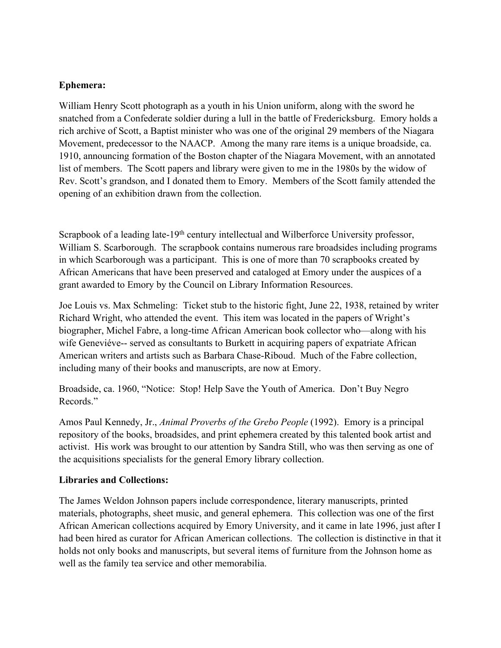# **Ephemera:**

William Henry Scott photograph as a youth in his Union uniform, along with the sword he snatched from a Confederate soldier during a lull in the battle of Fredericksburg. Emory holds a rich archive of Scott, a Baptist minister who was one of the original 29 members of the Niagara Movement, predecessor to the NAACP. Among the many rare items is a unique broadside, ca. 1910, announcing formation of the Boston chapter of the Niagara Movement, with an annotated list of members. The Scott papers and library were given to me in the 1980s by the widow of Rev. Scott's grandson, and I donated them to Emory. Members of the Scott family attended the opening of an exhibition drawn from the collection.

Scrapbook of a leading late-19<sup>th</sup> century intellectual and Wilberforce University professor, William S. Scarborough. The scrapbook contains numerous rare broadsides including programs in which Scarborough was a participant. This is one of more than 70 scrapbooks created by African Americans that have been preserved and cataloged at Emory under the auspices of a grant awarded to Emory by the Council on Library Information Resources.

Joe Louis vs. Max Schmeling: Ticket stub to the historic fight, June 22, 1938, retained by writer Richard Wright, who attended the event. This item was located in the papers of Wright's biographer, Michel Fabre, a long-time African American book collector who—along with his wife Geneviéve-- served as consultants to Burkett in acquiring papers of expatriate African American writers and artists such as Barbara Chase-Riboud. Much of the Fabre collection, including many of their books and manuscripts, are now at Emory.

Broadside, ca. 1960, "Notice: Stop! Help Save the Youth of America. Don't Buy Negro Records."

Amos Paul Kennedy, Jr., *Animal Proverbs of the Grebo People* (1992). Emory is a principal repository of the books, broadsides, and print ephemera created by this talented book artist and activist. His work was brought to our attention by Sandra Still, who was then serving as one of the acquisitions specialists for the general Emory library collection.

# **Libraries and Collections:**

The James Weldon Johnson papers include correspondence, literary manuscripts, printed materials, photographs, sheet music, and general ephemera. This collection was one of the first African American collections acquired by Emory University, and it came in late 1996, just after I had been hired as curator for African American collections. The collection is distinctive in that it holds not only books and manuscripts, but several items of furniture from the Johnson home as well as the family tea service and other memorabilia.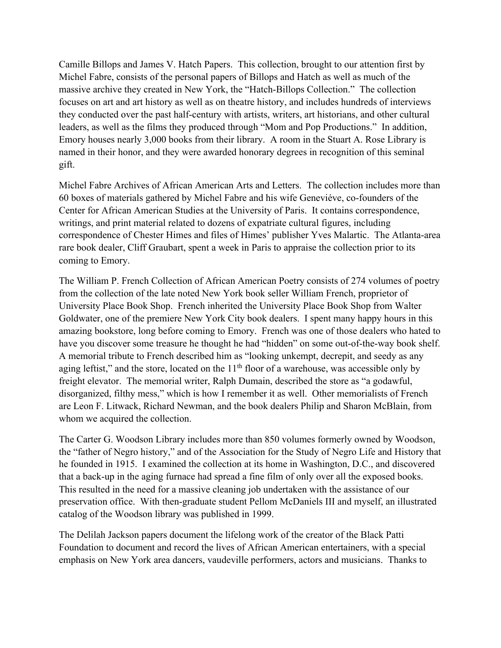Camille Billops and James V. Hatch Papers. This collection, brought to our attention first by Michel Fabre, consists of the personal papers of Billops and Hatch as well as much of the massive archive they created in New York, the "Hatch-Billops Collection." The collection focuses on art and art history as well as on theatre history, and includes hundreds of interviews they conducted over the past half-century with artists, writers, art historians, and other cultural leaders, as well as the films they produced through "Mom and Pop Productions." In addition, Emory houses nearly 3,000 books from their library. A room in the Stuart A. Rose Library is named in their honor, and they were awarded honorary degrees in recognition of this seminal gift.

Michel Fabre Archives of African American Arts and Letters. The collection includes more than 60 boxes of materials gathered by Michel Fabre and his wife Geneviéve, co-founders of the Center for African American Studies at the University of Paris. It contains correspondence, writings, and print material related to dozens of expatriate cultural figures, including correspondence of Chester Himes and files of Himes' publisher Yves Malartic. The Atlanta-area rare book dealer, Cliff Graubart, spent a week in Paris to appraise the collection prior to its coming to Emory.

The William P. French Collection of African American Poetry consists of 274 volumes of poetry from the collection of the late noted New York book seller William French, proprietor of University Place Book Shop. French inherited the University Place Book Shop from Walter Goldwater, one of the premiere New York City book dealers. I spent many happy hours in this amazing bookstore, long before coming to Emory. French was one of those dealers who hated to have you discover some treasure he thought he had "hidden" on some out-of-the-way book shelf. A memorial tribute to French described him as "looking unkempt, decrepit, and seedy as any aging leftist," and the store, located on the  $11<sup>th</sup>$  floor of a warehouse, was accessible only by freight elevator. The memorial writer, Ralph Dumain, described the store as "a godawful, disorganized, filthy mess," which is how I remember it as well. Other memorialists of French are Leon F. Litwack, Richard Newman, and the book dealers Philip and Sharon McBlain, from whom we acquired the collection.

The Carter G. Woodson Library includes more than 850 volumes formerly owned by Woodson, the "father of Negro history," and of the Association for the Study of Negro Life and History that he founded in 1915. I examined the collection at its home in Washington, D.C., and discovered that a back-up in the aging furnace had spread a fine film of only over all the exposed books. This resulted in the need for a massive cleaning job undertaken with the assistance of our preservation office. With then-graduate student Pellom McDaniels III and myself, an illustrated catalog of the Woodson library was published in 1999.

The Delilah Jackson papers document the lifelong work of the creator of the Black Patti Foundation to document and record the lives of African American entertainers, with a special emphasis on New York area dancers, vaudeville performers, actors and musicians. Thanks to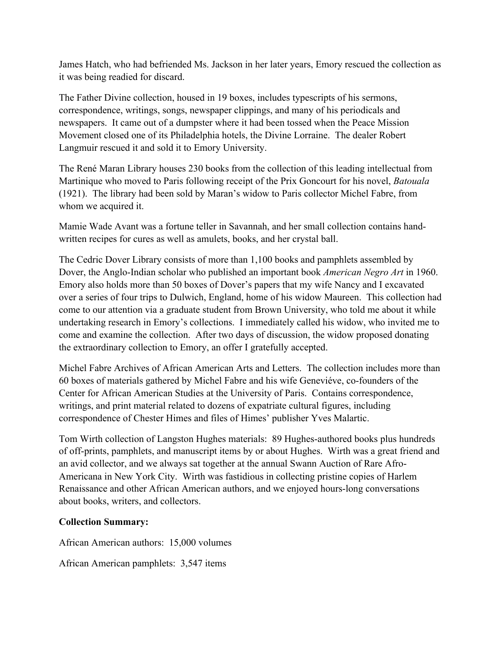James Hatch, who had befriended Ms. Jackson in her later years, Emory rescued the collection as it was being readied for discard.

The Father Divine collection, housed in 19 boxes, includes typescripts of his sermons, correspondence, writings, songs, newspaper clippings, and many of his periodicals and newspapers. It came out of a dumpster where it had been tossed when the Peace Mission Movement closed one of its Philadelphia hotels, the Divine Lorraine. The dealer Robert Langmuir rescued it and sold it to Emory University.

The René Maran Library houses 230 books from the collection of this leading intellectual from Martinique who moved to Paris following receipt of the Prix Goncourt for his novel, *Batouala*  (1921). The library had been sold by Maran's widow to Paris collector Michel Fabre, from whom we acquired it.

Mamie Wade Avant was a fortune teller in Savannah, and her small collection contains handwritten recipes for cures as well as amulets, books, and her crystal ball.

The Cedric Dover Library consists of more than 1,100 books and pamphlets assembled by Dover, the Anglo-Indian scholar who published an important book *American Negro Art* in 1960. Emory also holds more than 50 boxes of Dover's papers that my wife Nancy and I excavated over a series of four trips to Dulwich, England, home of his widow Maureen. This collection had come to our attention via a graduate student from Brown University, who told me about it while undertaking research in Emory's collections. I immediately called his widow, who invited me to come and examine the collection. After two days of discussion, the widow proposed donating the extraordinary collection to Emory, an offer I gratefully accepted.

Michel Fabre Archives of African American Arts and Letters. The collection includes more than 60 boxes of materials gathered by Michel Fabre and his wife Geneviéve, co-founders of the Center for African American Studies at the University of Paris. Contains correspondence, writings, and print material related to dozens of expatriate cultural figures, including correspondence of Chester Himes and files of Himes' publisher Yves Malartic.

Tom Wirth collection of Langston Hughes materials: 89 Hughes-authored books plus hundreds of off-prints, pamphlets, and manuscript items by or about Hughes. Wirth was a great friend and an avid collector, and we always sat together at the annual Swann Auction of Rare Afro-Americana in New York City. Wirth was fastidious in collecting pristine copies of Harlem Renaissance and other African American authors, and we enjoyed hours-long conversations about books, writers, and collectors.

# **Collection Summary:**

African American authors: 15,000 volumes

African American pamphlets: 3,547 items